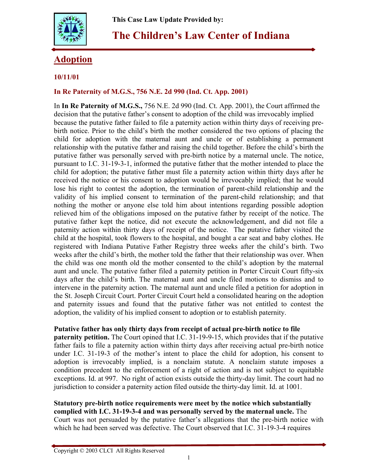

# **The Children's Law Center of Indiana**

## **Adoption**

### **10/11/01**

#### **In Re Paternity of M.G.S., 756 N.E. 2d 990 (Ind. Ct. App. 2001)**

In **In Re Paternity of M.G.S.,** 756 N.E. 2d 990 (Ind. Ct. App. 2001), the Court affirmed the decision that the putative father's consent to adoption of the child was irrevocably implied because the putative father failed to file a paternity action within thirty days of receiving prebirth notice. Prior to the child's birth the mother considered the two options of placing the child for adoption with the maternal aunt and uncle or of establishing a permanent relationship with the putative father and raising the child together. Before the child's birth the putative father was personally served with pre-birth notice by a maternal uncle. The notice, pursuant to I.C. 31-19-3-1, informed the putative father that the mother intended to place the child for adoption; the putative father must file a paternity action within thirty days after he received the notice or his consent to adoption would be irrevocably implied; that he would lose his right to contest the adoption, the termination of parent-child relationship and the validity of his implied consent to termination of the parent-child relationship; and that nothing the mother or anyone else told him about intentions regarding possible adoption relieved him of the obligations imposed on the putative father by receipt of the notice. The putative father kept the notice, did not execute the acknowledgement, and did not file a paternity action within thirty days of receipt of the notice. The putative father visited the child at the hospital, took flowers to the hospital, and bought a car seat and baby clothes. He registered with Indiana Putative Father Registry three weeks after the child's birth. Two weeks after the child's birth, the mother told the father that their relationship was over. When the child was one month old the mother consented to the child's adoption by the maternal aunt and uncle. The putative father filed a paternity petition in Porter Circuit Court fifty-six days after the child's birth. The maternal aunt and uncle filed motions to dismiss and to intervene in the paternity action. The maternal aunt and uncle filed a petition for adoption in the St. Joseph Circuit Court. Porter Circuit Court held a consolidated hearing on the adoption and paternity issues and found that the putative father was not entitled to contest the adoption, the validity of his implied consent to adoption or to establish paternity.

### **Putative father has only thirty days from receipt of actual pre-birth notice to file**

**paternity petition.** The Court opined that I.C. 31-19-9-15, which provides that if the putative father fails to file a paternity action within thirty days after receiving actual pre-birth notice under I.C. 31-19-3 of the mother's intent to place the child for adoption, his consent to adoption is irrevocably implied, is a nonclaim statute. A nonclaim statute imposes a condition precedent to the enforcement of a right of action and is not subject to equitable exceptions. Id. at 997. No right of action exists outside the thirty-day limit. The court had no jurisdiction to consider a paternity action filed outside the thirty-day limit. Id. at 1001.

**Statutory pre-birth notice requirements were meet by the notice which substantially complied with I.C. 31-19-3-4 and was personally served by the maternal uncle.** The Court was not persuaded by the putative father's allegations that the pre-birth notice with which he had been served was defective. The Court observed that I.C. 31-19-3-4 requires